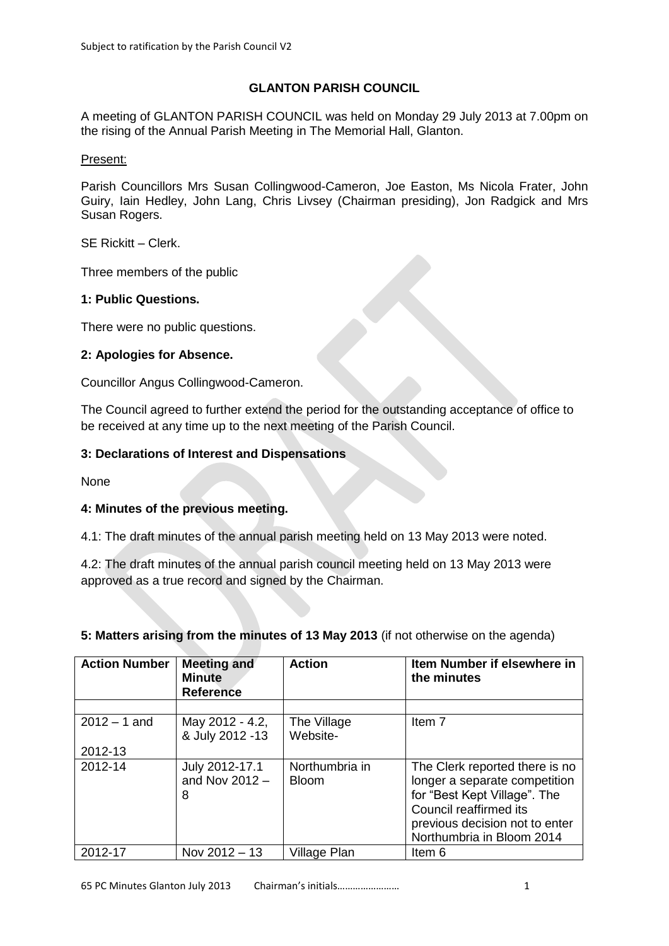## **GLANTON PARISH COUNCIL**

A meeting of GLANTON PARISH COUNCIL was held on Monday 29 July 2013 at 7.00pm on the rising of the Annual Parish Meeting in The Memorial Hall, Glanton.

#### Present:

Parish Councillors Mrs Susan Collingwood-Cameron, Joe Easton, Ms Nicola Frater, John Guiry, Iain Hedley, John Lang, Chris Livsey (Chairman presiding), Jon Radgick and Mrs Susan Rogers.

SE Rickitt – Clerk.

Three members of the public

### **1: Public Questions.**

There were no public questions.

#### **2: Apologies for Absence.**

Councillor Angus Collingwood-Cameron.

The Council agreed to further extend the period for the outstanding acceptance of office to be received at any time up to the next meeting of the Parish Council.

#### **3: Declarations of Interest and Dispensations**

None

### **4: Minutes of the previous meeting.**

4.1: The draft minutes of the annual parish meeting held on 13 May 2013 were noted.

4.2: The draft minutes of the annual parish council meeting held on 13 May 2013 were approved as a true record and signed by the Chairman.

| <b>Action Number</b> | <b>Meeting and</b><br><b>Minute</b><br><b>Reference</b> | <b>Action</b>                  | Item Number if elsewhere in<br>the minutes                                                                                                                                               |
|----------------------|---------------------------------------------------------|--------------------------------|------------------------------------------------------------------------------------------------------------------------------------------------------------------------------------------|
|                      |                                                         |                                |                                                                                                                                                                                          |
| $2012 - 1$ and       | May 2012 - 4.2,<br>& July 2012 -13                      | The Village<br>Website-        | Item 7                                                                                                                                                                                   |
| 2012-13              |                                                         |                                |                                                                                                                                                                                          |
| 2012-14              | July 2012-17.1<br>and Nov $2012 -$<br>8                 | Northumbria in<br><b>Bloom</b> | The Clerk reported there is no<br>longer a separate competition<br>for "Best Kept Village". The<br>Council reaffirmed its<br>previous decision not to enter<br>Northumbria in Bloom 2014 |
| 2012-17              | Nov 2012 - 13                                           | Village Plan                   | Item 6                                                                                                                                                                                   |

# **5: Matters arising from the minutes of 13 May 2013** (if not otherwise on the agenda)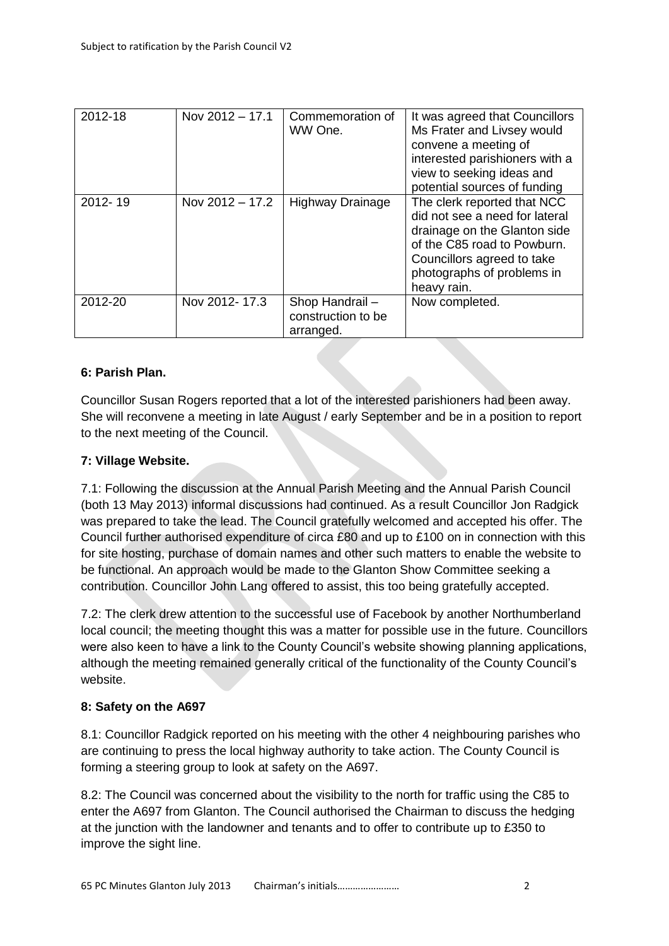| 2012-18 | Nov $2012 - 17.1$ | Commemoration of<br>WW One.                       | It was agreed that Councillors<br>Ms Frater and Livsey would<br>convene a meeting of<br>interested parishioners with a<br>view to seeking ideas and<br>potential sources of funding                     |
|---------|-------------------|---------------------------------------------------|---------------------------------------------------------------------------------------------------------------------------------------------------------------------------------------------------------|
| 2012-19 | Nov 2012 - 17.2   | <b>Highway Drainage</b>                           | The clerk reported that NCC<br>did not see a need for lateral<br>drainage on the Glanton side<br>of the C85 road to Powburn.<br>Councillors agreed to take<br>photographs of problems in<br>heavy rain. |
| 2012-20 | Nov 2012-17.3     | Shop Handrail-<br>construction to be<br>arranged. | Now completed.                                                                                                                                                                                          |

### **6: Parish Plan.**

Councillor Susan Rogers reported that a lot of the interested parishioners had been away. She will reconvene a meeting in late August / early September and be in a position to report to the next meeting of the Council.

## **7: Village Website.**

7.1: Following the discussion at the Annual Parish Meeting and the Annual Parish Council (both 13 May 2013) informal discussions had continued. As a result Councillor Jon Radgick was prepared to take the lead. The Council gratefully welcomed and accepted his offer. The Council further authorised expenditure of circa £80 and up to £100 on in connection with this for site hosting, purchase of domain names and other such matters to enable the website to be functional. An approach would be made to the Glanton Show Committee seeking a contribution. Councillor John Lang offered to assist, this too being gratefully accepted.

7.2: The clerk drew attention to the successful use of Facebook by another Northumberland local council; the meeting thought this was a matter for possible use in the future. Councillors were also keen to have a link to the County Council's website showing planning applications, although the meeting remained generally critical of the functionality of the County Council's website.

### **8: Safety on the A697**

8.1: Councillor Radgick reported on his meeting with the other 4 neighbouring parishes who are continuing to press the local highway authority to take action. The County Council is forming a steering group to look at safety on the A697.

8.2: The Council was concerned about the visibility to the north for traffic using the C85 to enter the A697 from Glanton. The Council authorised the Chairman to discuss the hedging at the junction with the landowner and tenants and to offer to contribute up to £350 to improve the sight line.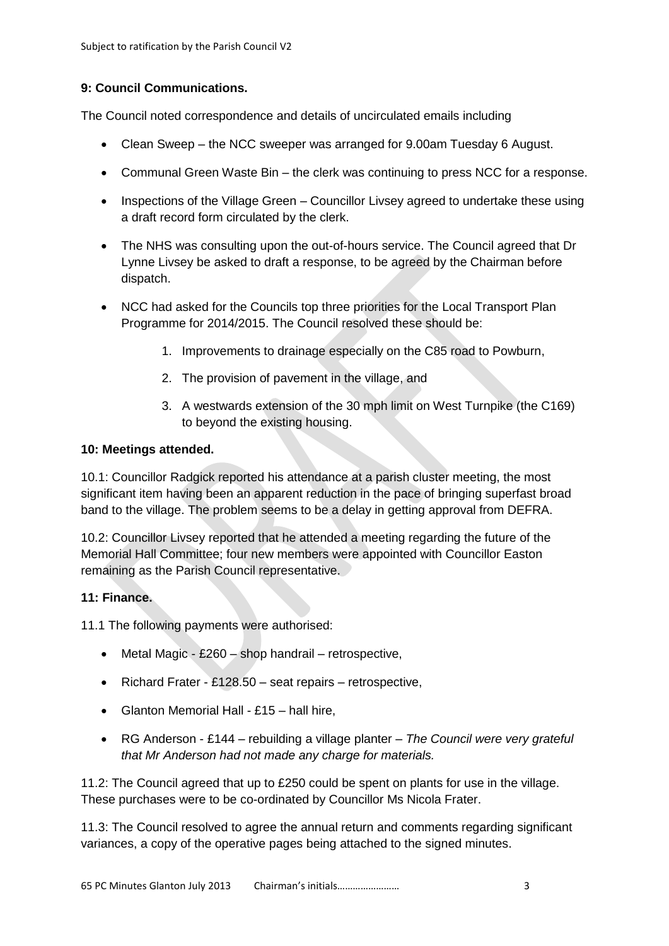## **9: Council Communications.**

The Council noted correspondence and details of uncirculated emails including

- Clean Sweep the NCC sweeper was arranged for 9.00am Tuesday 6 August.
- Communal Green Waste Bin the clerk was continuing to press NCC for a response.
- Inspections of the Village Green Councillor Livsey agreed to undertake these using a draft record form circulated by the clerk.
- The NHS was consulting upon the out-of-hours service. The Council agreed that Dr Lynne Livsey be asked to draft a response, to be agreed by the Chairman before dispatch.
- NCC had asked for the Councils top three priorities for the Local Transport Plan Programme for 2014/2015. The Council resolved these should be:
	- 1. Improvements to drainage especially on the C85 road to Powburn,
	- 2. The provision of pavement in the village, and
	- 3. A westwards extension of the 30 mph limit on West Turnpike (the C169) to beyond the existing housing.

### **10: Meetings attended.**

10.1: Councillor Radgick reported his attendance at a parish cluster meeting, the most significant item having been an apparent reduction in the pace of bringing superfast broad band to the village. The problem seems to be a delay in getting approval from DEFRA.

10.2: Councillor Livsey reported that he attended a meeting regarding the future of the Memorial Hall Committee; four new members were appointed with Councillor Easton remaining as the Parish Council representative.

### **11: Finance.**

11.1 The following payments were authorised:

- Metal Magic £260 shop handrail retrospective,
- Richard Frater £128.50 seat repairs retrospective,
- Glanton Memorial Hall £15 hall hire,
- RG Anderson £144 rebuilding a village planter *The Council were very grateful that Mr Anderson had not made any charge for materials.*

11.2: The Council agreed that up to £250 could be spent on plants for use in the village. These purchases were to be co-ordinated by Councillor Ms Nicola Frater.

11.3: The Council resolved to agree the annual return and comments regarding significant variances, a copy of the operative pages being attached to the signed minutes.